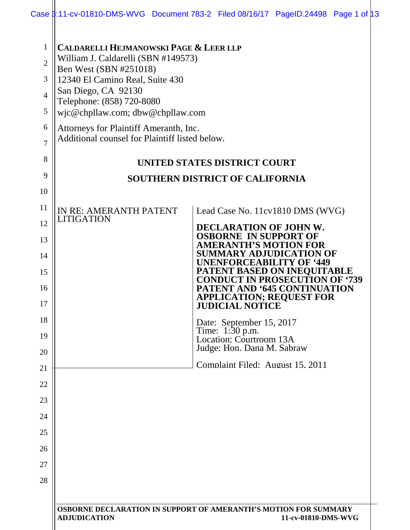|                                                      | Case 8:11-cv-01810-DMS-WVG Document 783-2 Filed 08/16/17 PageID.24498 Page 1 of 13                                                                                                                                                                                                      |  |  |                                                       |                                                                                                        |             |
|------------------------------------------------------|-----------------------------------------------------------------------------------------------------------------------------------------------------------------------------------------------------------------------------------------------------------------------------------------|--|--|-------------------------------------------------------|--------------------------------------------------------------------------------------------------------|-------------|
| 1<br>$\overline{2}$<br>3<br>$\overline{4}$<br>5<br>6 | <b>CALDARELLI HEJMANOWSKI PAGE &amp; LEER LLP</b><br>William J. Caldarelli (SBN #149573)<br>Ben West (SBN #251018)<br>12340 El Camino Real, Suite 430<br>San Diego, CA 92130<br>Telephone: (858) 720-8080<br>wic@chpllaw.com; dbw@chpllaw.com<br>Attorneys for Plaintiff Ameranth, Inc. |  |  |                                                       |                                                                                                        |             |
| 7                                                    | Additional counsel for Plaintiff listed below.                                                                                                                                                                                                                                          |  |  |                                                       |                                                                                                        |             |
| 8                                                    | <b>UNITED STATES DISTRICT COURT</b>                                                                                                                                                                                                                                                     |  |  |                                                       |                                                                                                        |             |
| 9                                                    |                                                                                                                                                                                                                                                                                         |  |  | <b>SOUTHERN DISTRICT OF CALIFORNIA</b>                |                                                                                                        |             |
| 10                                                   |                                                                                                                                                                                                                                                                                         |  |  |                                                       |                                                                                                        |             |
| 11                                                   | IN RE: AMERANTH PATENT<br>LITIGATION                                                                                                                                                                                                                                                    |  |  |                                                       | Lead Case No. 11cv1810 DMS (WVG)                                                                       |             |
| 12                                                   |                                                                                                                                                                                                                                                                                         |  |  | <b>DECLARATION OF JOHN W.</b>                         |                                                                                                        |             |
| 13                                                   |                                                                                                                                                                                                                                                                                         |  |  | <b>OSBORNE IN SUPPORT OF</b><br>AMERANTH'S MOTION FOR |                                                                                                        |             |
| 14<br>15                                             |                                                                                                                                                                                                                                                                                         |  |  | SUMMARY ADJUDICATI                                    | DN OF<br><b>UNENFORCEABILITY OF '449</b><br><b>PATENT BASED ON INEQUITABLE</b><br>TT IN PROSECUTION OF | <b>'739</b> |
| 16<br>17                                             |                                                                                                                                                                                                                                                                                         |  |  | <b>JUDICIAL NOTICE</b>                                | <b>PATENT AND '645 CONTINUATION</b><br><b>APPLICATION; REQUEST FOR</b>                                 |             |
| 18                                                   |                                                                                                                                                                                                                                                                                         |  |  | Date: September 15, 2017<br>Time: 1:30 p.m.           |                                                                                                        |             |
| 19                                                   |                                                                                                                                                                                                                                                                                         |  |  | Location: Courtroom 13A<br>Judge: Hon. Dana M. Sabraw |                                                                                                        |             |
| 20<br>21                                             |                                                                                                                                                                                                                                                                                         |  |  |                                                       | Complaint Filed: August 15, 2011                                                                       |             |
| 22                                                   |                                                                                                                                                                                                                                                                                         |  |  |                                                       |                                                                                                        |             |
| 23                                                   |                                                                                                                                                                                                                                                                                         |  |  |                                                       |                                                                                                        |             |
| 24                                                   |                                                                                                                                                                                                                                                                                         |  |  |                                                       |                                                                                                        |             |
| 25                                                   |                                                                                                                                                                                                                                                                                         |  |  |                                                       |                                                                                                        |             |
| 26                                                   |                                                                                                                                                                                                                                                                                         |  |  |                                                       |                                                                                                        |             |
| 27                                                   |                                                                                                                                                                                                                                                                                         |  |  |                                                       |                                                                                                        |             |
| 28                                                   |                                                                                                                                                                                                                                                                                         |  |  |                                                       |                                                                                                        |             |
|                                                      |                                                                                                                                                                                                                                                                                         |  |  |                                                       |                                                                                                        |             |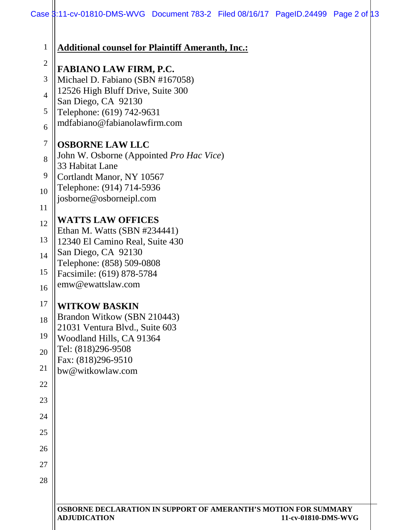|                  | Case 8:11-cv-01810-DMS-WVG Document 783-2 Filed 08/16/17 PageID.24499 Page 2 of 0.3                           |  |
|------------------|---------------------------------------------------------------------------------------------------------------|--|
| 1                | <b>Additional counsel for Plaintiff Ameranth, Inc.:</b>                                                       |  |
| $\sqrt{2}$       |                                                                                                               |  |
|                  | <b>FABIANO LAW FIRM, P.C.</b>                                                                                 |  |
| 3                | Michael D. Fabiano (SBN #167058)<br>12526 High Bluff Drive, Suite 300                                         |  |
| $\overline{4}$   | San Diego, CA 92130                                                                                           |  |
| 5                | Telephone: (619) 742-9631                                                                                     |  |
| 6                | mdfabiano@fabianolawfirm.com                                                                                  |  |
| $\boldsymbol{7}$ | <b>OSBORNE LAW LLC</b>                                                                                        |  |
| 8                | John W. Osborne (Appointed Pro Hac Vice)                                                                      |  |
|                  | 33 Habitat Lane                                                                                               |  |
| 9                | Cortlandt Manor, NY 10567                                                                                     |  |
| 10               | Telephone: (914) 714-5936<br>josborne@osborneipl.com                                                          |  |
| 11               |                                                                                                               |  |
| 12               | <b>WATTS LAW OFFICES</b>                                                                                      |  |
| 13               | Ethan M. Watts (SBN #234441)                                                                                  |  |
|                  | 12340 El Camino Real, Suite 430<br>San Diego, CA 92130                                                        |  |
| 14               | Telephone: (858) 509-0808                                                                                     |  |
| 15               | Facsimile: (619) 878-5784                                                                                     |  |
| 16               | emw@ewattslaw.com                                                                                             |  |
| 17               | <b>WITKOW BASKIN</b>                                                                                          |  |
| 18               | Brandon Witkow (SBN 210443)                                                                                   |  |
| 19               | 21031 Ventura Blvd., Suite 603<br>Woodland Hills, CA 91364                                                    |  |
| 20               | Tel: (818)296-9508                                                                                            |  |
|                  | Fax: (818)296-9510                                                                                            |  |
| 21               | bw@witkowlaw.com                                                                                              |  |
| 22               |                                                                                                               |  |
| 23               |                                                                                                               |  |
| 24               |                                                                                                               |  |
| 25               |                                                                                                               |  |
| 26               |                                                                                                               |  |
| 27               |                                                                                                               |  |
| 28               |                                                                                                               |  |
|                  |                                                                                                               |  |
|                  | OSBORNE DECLARATION IN SUPPORT OF AMERANTH'S MOTION FOR SUMMARY<br><b>ADJUDICATION</b><br>11-cv-01810-DMS-WVG |  |
|                  |                                                                                                               |  |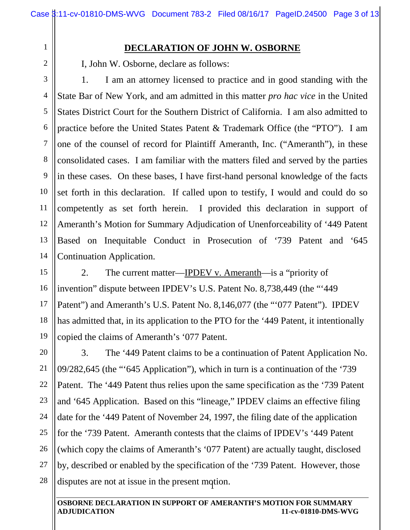## **DECLARATION OF JOHN W. OSBORNE**

I, John W. Osborne, declare as follows:

1

2

3

4

5

6

7

8

9

11

12

14

10 13 1. I am an attorney licensed to practice and in good standing with the State Bar of New York, and am admitted in this matter *pro hac vice* in the United States District Court for the Southern District of California. I am also admitted to practice before the United States Patent & Trademark Office (the "PTO"). I am one of the counsel of record for Plaintiff Ameranth, Inc. ("Ameranth"), in these consolidated cases. I am familiar with the matters filed and served by the parties in these cases. On these bases, I have first-hand personal knowledge of the facts set forth in this declaration. If called upon to testify, I would and could do so competently as set forth herein. I provided this declaration in support of Ameranth's Motion for Summary Adjudication of Unenforceability of '449 Patent Based on Inequitable Conduct in Prosecution of '739 Patent and '645 Continuation Application.

15 16 17 18 19 2. The current matter—IPDEV v. Ameranth—is a "priority of invention" dispute between IPDEV's U.S. Patent No. 8,738,449 (the "'449 Patent") and Ameranth's U.S. Patent No. 8,146,077 (the "'077 Patent"). IPDEV has admitted that, in its application to the PTO for the '449 Patent, it intentionally copied the claims of Ameranth's '077 Patent.

disputes are not at issue in the present motion. 20 21 22 23 24 25 26 27 28 3. The '449 Patent claims to be a continuation of Patent Application No. 09/282,645 (the "'645 Application"), which in turn is a continuation of the '739 Patent. The '449 Patent thus relies upon the same specification as the '739 Patent and '645 Application. Based on this "lineage," IPDEV claims an effective filing date for the '449 Patent of November 24, 1997, the filing date of the application for the '739 Patent. Ameranth contests that the claims of IPDEV's '449 Patent (which copy the claims of Ameranth's '077 Patent) are actually taught, disclosed by, described or enabled by the specification of the '739 Patent. However, those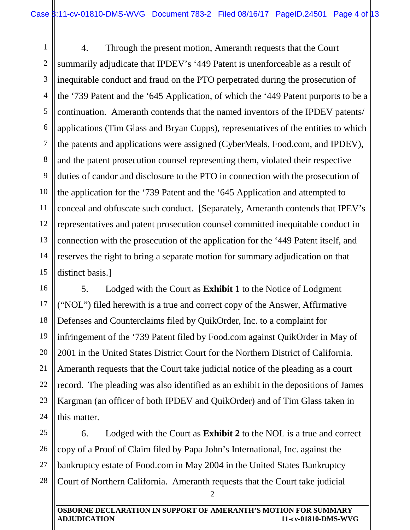1 2 3 4 5 6 7 8 9 10 11 12 13 14 15 4. Through the present motion, Ameranth requests that the Court summarily adjudicate that IPDEV's '449 Patent is unenforceable as a result of inequitable conduct and fraud on the PTO perpetrated during the prosecution of the '739 Patent and the '645 Application, of which the '449 Patent purports to be a continuation. Ameranth contends that the named inventors of the IPDEV patents/ applications (Tim Glass and Bryan Cupps), representatives of the entities to which the patents and applications were assigned (CyberMeals, Food.com, and IPDEV), and the patent prosecution counsel representing them, violated their respective duties of candor and disclosure to the PTO in connection with the prosecution of the application for the '739 Patent and the '645 Application and attempted to conceal and obfuscate such conduct. [Separately, Ameranth contends that IPEV's representatives and patent prosecution counsel committed inequitable conduct in connection with the prosecution of the application for the '449 Patent itself, and reserves the right to bring a separate motion for summary adjudication on that distinct basis.]

16 17 18 19 20 21 22 23 24 5. Lodged with the Court as **Exhibit 1** to the Notice of Lodgment ("NOL") filed herewith is a true and correct copy of the Answer, Affirmative Defenses and Counterclaims filed by QuikOrder, Inc. to a complaint for infringement of the '739 Patent filed by Food.com against QuikOrder in May of 2001 in the United States District Court for the Northern District of California. Ameranth requests that the Court take judicial notice of the pleading as a court record. The pleading was also identified as an exhibit in the depositions of James Kargman (an officer of both IPDEV and QuikOrder) and of Tim Glass taken in this matter.

25 26 27 28 6. Lodged with the Court as **Exhibit 2** to the NOL is a true and correct copy of a Proof of Claim filed by Papa John's International, Inc. against the bankruptcy estate of Food.com in May 2004 in the United States Bankruptcy Court of Northern California. Ameranth requests that the Court take judicial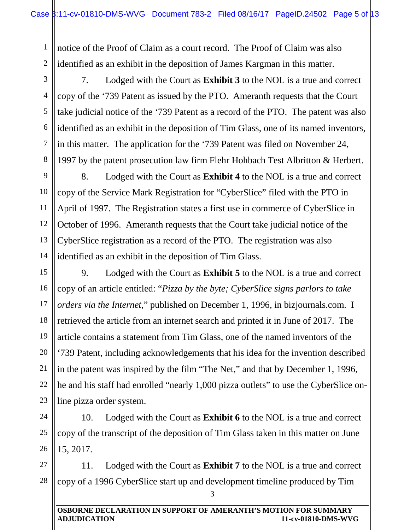1 2 notice of the Proof of Claim as a court record. The Proof of Claim was also identified as an exhibit in the deposition of James Kargman in this matter.

3 4 5 6 7 7. Lodged with the Court as **Exhibit 3** to the NOL is a true and correct copy of the '739 Patent as issued by the PTO. Ameranth requests that the Court take judicial notice of the '739 Patent as a record of the PTO. The patent was also identified as an exhibit in the deposition of Tim Glass, one of its named inventors, in this matter. The application for the '739 Patent was filed on November 24, 1997 by the patent prosecution law firm Flehr Hohbach Test Albritton & Herbert.

8

9

10

11

12

13

14

8. Lodged with the Court as **Exhibit 4** to the NOL is a true and correct copy of the Service Mark Registration for "CyberSlice" filed with the PTO in April of 1997. The Registration states a first use in commerce of CyberSlice in October of 1996. Ameranth requests that the Court take judicial notice of the CyberSlice registration as a record of the PTO. The registration was also identified as an exhibit in the deposition of Tim Glass.

15 16 17 18 19 20 21 22 23 9. Lodged with the Court as **Exhibit 5** to the NOL is a true and correct copy of an article entitled: "*Pizza by the byte; CyberSlice signs parlors to take orders via the Internet*," published on December 1, 1996, in bizjournals.com. I retrieved the article from an internet search and printed it in June of 2017. The article contains a statement from Tim Glass, one of the named inventors of the '739 Patent, including acknowledgements that his idea for the invention described in the patent was inspired by the film "The Net," and that by December 1, 1996, he and his staff had enrolled "nearly 1,000 pizza outlets" to use the CyberSlice online pizza order system.

24 25 26 10. Lodged with the Court as **Exhibit 6** to the NOL is a true and correct copy of the transcript of the deposition of Tim Glass taken in this matter on June 15, 2017.

27 28 11. Lodged with the Court as **Exhibit 7** to the NOL is a true and correct copy of a 1996 CyberSlice start up and development timeline produced by Tim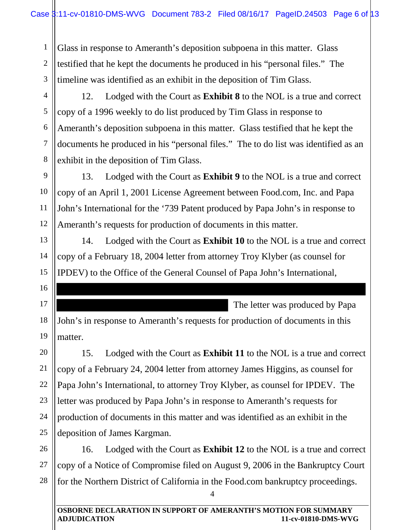1 2 3 Glass in response to Ameranth's deposition subpoena in this matter. Glass testified that he kept the documents he produced in his "personal files." The timeline was identified as an exhibit in the deposition of Tim Glass.

4

5

6

7

8

13

14

15

16

17

20

21

22

23

24

25

12. Lodged with the Court as **Exhibit 8** to the NOL is a true and correct copy of a 1996 weekly to do list produced by Tim Glass in response to Ameranth's deposition subpoena in this matter. Glass testified that he kept the documents he produced in his "personal files." The to do list was identified as an exhibit in the deposition of Tim Glass.

9 10 11 12 13. Lodged with the Court as **Exhibit 9** to the NOL is a true and correct copy of an April 1, 2001 License Agreement between Food.com, Inc. and Papa John's International for the '739 Patent produced by Papa John's in response to Ameranth's requests for production of documents in this matter.

14. Lodged with the Court as **Exhibit 10** to the NOL is a true and correct copy of a February 18, 2004 letter from attorney Troy Klyber (as counsel for IPDEV) to the Office of the General Counsel of Papa John's International,

The letter was produced by Papa

18 19 John's in response to Ameranth's requests for production of documents in this matter.

15. Lodged with the Court as **Exhibit 11** to the NOL is a true and correct copy of a February 24, 2004 letter from attorney James Higgins, as counsel for Papa John's International, to attorney Troy Klyber, as counsel for IPDEV. The letter was produced by Papa John's in response to Ameranth's requests for production of documents in this matter and was identified as an exhibit in the deposition of James Kargman.

26 27 28 16. Lodged with the Court as **Exhibit 12** to the NOL is a true and correct copy of a Notice of Compromise filed on August 9, 2006 in the Bankruptcy Court for the Northern District of California in the Food.com bankruptcy proceedings.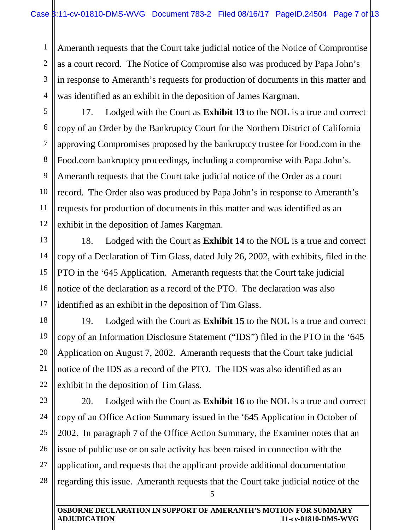1

2

4

18

19

20

21

22

3 Ameranth requests that the Court take judicial notice of the Notice of Compromise as a court record. The Notice of Compromise also was produced by Papa John's in response to Ameranth's requests for production of documents in this matter and was identified as an exhibit in the deposition of James Kargman.

5 6 7 8 9 10 11 12 17. Lodged with the Court as **Exhibit 13** to the NOL is a true and correct copy of an Order by the Bankruptcy Court for the Northern District of California approving Compromises proposed by the bankruptcy trustee for Food.com in the Food.com bankruptcy proceedings, including a compromise with Papa John's. Ameranth requests that the Court take judicial notice of the Order as a court record. The Order also was produced by Papa John's in response to Ameranth's requests for production of documents in this matter and was identified as an exhibit in the deposition of James Kargman.

13 14 15 16 17 18. Lodged with the Court as **Exhibit 14** to the NOL is a true and correct copy of a Declaration of Tim Glass, dated July 26, 2002, with exhibits, filed in the PTO in the '645 Application. Ameranth requests that the Court take judicial notice of the declaration as a record of the PTO. The declaration was also identified as an exhibit in the deposition of Tim Glass.

19. Lodged with the Court as **Exhibit 15** to the NOL is a true and correct copy of an Information Disclosure Statement ("IDS") filed in the PTO in the '645 Application on August 7, 2002. Ameranth requests that the Court take judicial notice of the IDS as a record of the PTO. The IDS was also identified as an exhibit in the deposition of Tim Glass.

23 24 25 26 27 28 20. Lodged with the Court as **Exhibit 16** to the NOL is a true and correct copy of an Office Action Summary issued in the '645 Application in October of 2002. In paragraph 7 of the Office Action Summary, the Examiner notes that an issue of public use or on sale activity has been raised in connection with the application, and requests that the applicant provide additional documentation regarding this issue. Ameranth requests that the Court take judicial notice of the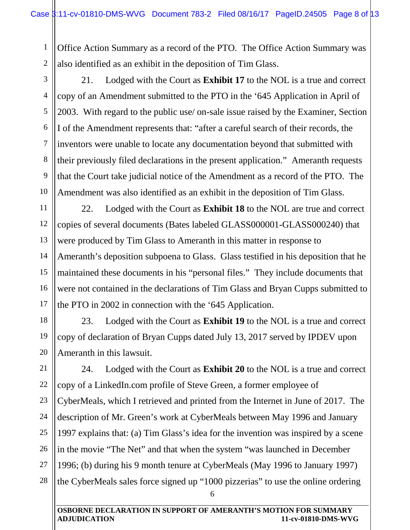1 2 Office Action Summary as a record of the PTO. The Office Action Summary was also identified as an exhibit in the deposition of Tim Glass.

3

4

5

6

7

8

9

10

11

12

13

14

15

16

17

18

19

21. Lodged with the Court as **Exhibit 17** to the NOL is a true and correct copy of an Amendment submitted to the PTO in the '645 Application in April of 2003. With regard to the public use/ on-sale issue raised by the Examiner, Section I of the Amendment represents that: "after a careful search of their records, the inventors were unable to locate any documentation beyond that submitted with their previously filed declarations in the present application." Ameranth requests that the Court take judicial notice of the Amendment as a record of the PTO. The Amendment was also identified as an exhibit in the deposition of Tim Glass.

22. Lodged with the Court as **Exhibit 18** to the NOL are true and correct copies of several documents (Bates labeled GLASS000001-GLASS000240) that were produced by Tim Glass to Ameranth in this matter in response to Ameranth's deposition subpoena to Glass. Glass testified in his deposition that he maintained these documents in his "personal files." They include documents that were not contained in the declarations of Tim Glass and Bryan Cupps submitted to the PTO in 2002 in connection with the '645 Application.

20 23. Lodged with the Court as **Exhibit 19** to the NOL is a true and correct copy of declaration of Bryan Cupps dated July 13, 2017 served by IPDEV upon Ameranth in this lawsuit.

21 22 23 24 25 26 27 28 24. Lodged with the Court as **Exhibit 20** to the NOL is a true and correct copy of a LinkedIn.com profile of Steve Green, a former employee of CyberMeals, which I retrieved and printed from the Internet in June of 2017. The description of Mr. Green's work at CyberMeals between May 1996 and January 1997 explains that: (a) Tim Glass's idea for the invention was inspired by a scene in the movie "The Net" and that when the system "was launched in December 1996; (b) during his 9 month tenure at CyberMeals (May 1996 to January 1997) the CyberMeals sales force signed up "1000 pizzerias" to use the online ordering

<sup>6</sup>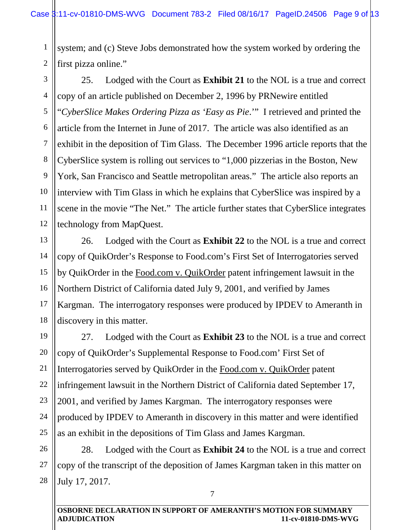1 2 system; and (c) Steve Jobs demonstrated how the system worked by ordering the first pizza online."

3 4 5 6 7 8 9 10 11 12 25. Lodged with the Court as **Exhibit 21** to the NOL is a true and correct copy of an article published on December 2, 1996 by PRNewire entitled "*CyberSlice Makes Ordering Pizza as 'Easy as Pie*.'" I retrieved and printed the article from the Internet in June of 2017. The article was also identified as an exhibit in the deposition of Tim Glass. The December 1996 article reports that the CyberSlice system is rolling out services to "1,000 pizzerias in the Boston, New York, San Francisco and Seattle metropolitan areas." The article also reports an interview with Tim Glass in which he explains that CyberSlice was inspired by a scene in the movie "The Net." The article further states that CyberSlice integrates technology from MapQuest.

13 14 15 16 17 18 26. Lodged with the Court as **Exhibit 22** to the NOL is a true and correct copy of QuikOrder's Response to Food.com's First Set of Interrogatories served by QuikOrder in the Food.com v. QuikOrder patent infringement lawsuit in the Northern District of California dated July 9, 2001, and verified by James Kargman. The interrogatory responses were produced by IPDEV to Ameranth in discovery in this matter.

19 20 21 22 23 24 25 27. Lodged with the Court as **Exhibit 23** to the NOL is a true and correct copy of QuikOrder's Supplemental Response to Food.com' First Set of Interrogatories served by QuikOrder in the Food.com v. QuikOrder patent infringement lawsuit in the Northern District of California dated September 17, 2001, and verified by James Kargman. The interrogatory responses were produced by IPDEV to Ameranth in discovery in this matter and were identified as an exhibit in the depositions of Tim Glass and James Kargman.

26 27 28 28. Lodged with the Court as **Exhibit 24** to the NOL is a true and correct copy of the transcript of the deposition of James Kargman taken in this matter on July 17, 2017.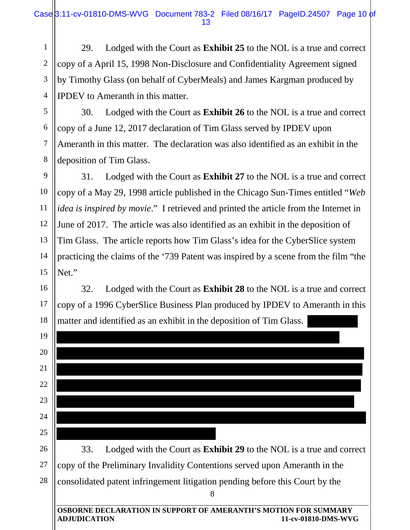1 2 3 4 29. Lodged with the Court as **Exhibit 25** to the NOL is a true and correct copy of a April 15, 1998 Non-Disclosure and Confidentiality Agreement signed by Timothy Glass (on behalf of CyberMeals) and James Kargman produced by IPDEV to Ameranth in this matter.

5 6 7 8 30. Lodged with the Court as **Exhibit 26** to the NOL is a true and correct copy of a June 12, 2017 declaration of Tim Glass served by IPDEV upon Ameranth in this matter. The declaration was also identified as an exhibit in the deposition of Tim Glass.

9

11

14

15

10 12 13 31. Lodged with the Court as **Exhibit 27** to the NOL is a true and correct copy of a May 29, 1998 article published in the Chicago Sun-Times entitled "*Web idea is inspired by movie*." I retrieved and printed the article from the Internet in June of 2017. The article was also identified as an exhibit in the deposition of Tim Glass. The article reports how Tim Glass's idea for the CyberSlice system practicing the claims of the '739 Patent was inspired by a scene from the film "the Net."

16 17 18 matter and identified as an exhibit in the deposition of Tim Glass. 32. Lodged with the Court as **Exhibit 28** to the NOL is a true and correct copy of a 1996 CyberSlice Business Plan produced by IPDEV to Ameranth in this

|    | matter and recuting as an exilibit in the deposition of Thin Grass.                                           |
|----|---------------------------------------------------------------------------------------------------------------|
| 19 |                                                                                                               |
| 20 |                                                                                                               |
| 21 |                                                                                                               |
| 22 |                                                                                                               |
| 23 |                                                                                                               |
| 24 |                                                                                                               |
| 25 |                                                                                                               |
| 26 | Lodged with the Court as Exhibit 29 to the NOL is a true and correct<br>33.                                   |
| 27 | copy of the Preliminary Invalidity Contentions served upon Ameranth in the                                    |
| 28 | consolidated patent infringement litigation pending before this Court by the                                  |
|    | 8                                                                                                             |
|    | OSBORNE DECLARATION IN SUPPORT OF AMERANTH'S MOTION FOR SUMMARY<br><b>ADJUDICATION</b><br>11-cv-01810-DMS-WVG |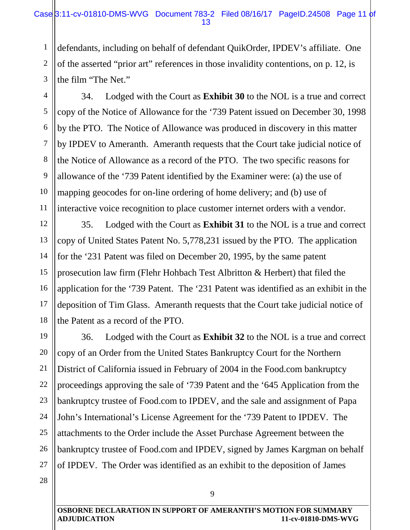1 2 3 defendants, including on behalf of defendant QuikOrder, IPDEV's affiliate. One of the asserted "prior art" references in those invalidity contentions, on p. 12, is the film "The Net."

4 5 6 7 8 9 10 11 34. Lodged with the Court as **Exhibit 30** to the NOL is a true and correct copy of the Notice of Allowance for the '739 Patent issued on December 30, 1998 by the PTO. The Notice of Allowance was produced in discovery in this matter by IPDEV to Ameranth. Ameranth requests that the Court take judicial notice of the Notice of Allowance as a record of the PTO. The two specific reasons for allowance of the '739 Patent identified by the Examiner were: (a) the use of mapping geocodes for on-line ordering of home delivery; and (b) use of interactive voice recognition to place customer internet orders with a vendor.

12 13 14 15 16 17 18 35. Lodged with the Court as **Exhibit 31** to the NOL is a true and correct copy of United States Patent No. 5,778,231 issued by the PTO. The application for the '231 Patent was filed on December 20, 1995, by the same patent prosecution law firm (Flehr Hohbach Test Albritton & Herbert) that filed the application for the '739 Patent. The '231 Patent was identified as an exhibit in the deposition of Tim Glass. Ameranth requests that the Court take judicial notice of the Patent as a record of the PTO.

19 20 21 22 23 24 25 26 27 36. Lodged with the Court as **Exhibit 32** to the NOL is a true and correct copy of an Order from the United States Bankruptcy Court for the Northern District of California issued in February of 2004 in the Food.com bankruptcy proceedings approving the sale of '739 Patent and the '645 Application from the bankruptcy trustee of Food.com to IPDEV, and the sale and assignment of Papa John's International's License Agreement for the '739 Patent to IPDEV. The attachments to the Order include the Asset Purchase Agreement between the bankruptcy trustee of Food.com and IPDEV, signed by James Kargman on behalf of IPDEV. The Order was identified as an exhibit to the deposition of James

**OSBORNE DECLARATION IN SUPPORT OF AMERANTH'S MOTION FOR SUMMARY ADJUDICATION 11-cv-01810-DMS-WVG**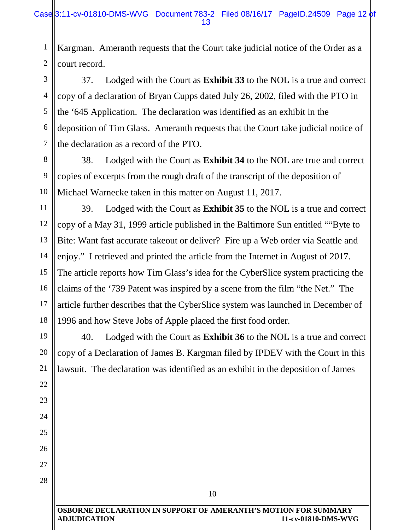1 2 Kargman. Ameranth requests that the Court take judicial notice of the Order as a court record.

3 4 5 6 7 37. Lodged with the Court as **Exhibit 33** to the NOL is a true and correct copy of a declaration of Bryan Cupps dated July 26, 2002, filed with the PTO in the '645 Application. The declaration was identified as an exhibit in the deposition of Tim Glass. Ameranth requests that the Court take judicial notice of the declaration as a record of the PTO.

8 9 10 38. Lodged with the Court as **Exhibit 34** to the NOL are true and correct copies of excerpts from the rough draft of the transcript of the deposition of Michael Warnecke taken in this matter on August 11, 2017.

11

12

13

14

15

16

17

18

19

20

21

22

23

24

25

26

27

28

39. Lodged with the Court as **Exhibit 35** to the NOL is a true and correct copy of a May 31, 1999 article published in the Baltimore Sun entitled ""Byte to Bite: Want fast accurate takeout or deliver? Fire up a Web order via Seattle and enjoy." I retrieved and printed the article from the Internet in August of 2017. The article reports how Tim Glass's idea for the CyberSlice system practicing the claims of the '739 Patent was inspired by a scene from the film "the Net." The article further describes that the CyberSlice system was launched in December of 1996 and how Steve Jobs of Apple placed the first food order.

40. Lodged with the Court as **Exhibit 36** to the NOL is a true and correct copy of a Declaration of James B. Kargman filed by IPDEV with the Court in this lawsuit. The declaration was identified as an exhibit in the deposition of James